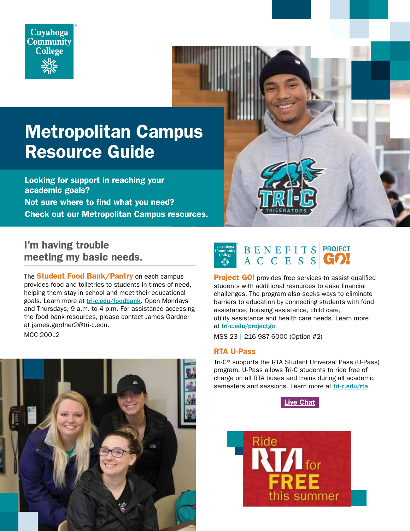

# Metropolitan Campus Resource Guide

Looking for support in reaching your academic goals? Not sure where to find what you need? Check out our Metropolitan Campus resources.

I'm having trouble meeting my basic needs.

The **Student Food Bank/Pantry** on each campus provides food and toiletries to students in times of need, helping them stay in school and meet their educational goals. Learn more at [tri-c.edu/foodbank](http://tri-c.edu/foodbank). Open Mondays and Thursdays, 9 a.m. to 4 p.m. For assistance accessing the food bank resources, please contact James Gardner at james.gardner2@tri-c.edu.

MCC 200L2



| Cuyahoga<br><b>Community</b><br><b>College</b> | BENEFITS | <b>I PROJECT</b> |
|------------------------------------------------|----------|------------------|
|                                                | ACCESSI  | GOL              |

**Project GO!** provides free services to assist qualified students with additional resources to ease financial challenges. The program also seeks ways to eliminate barriers to education by connecting students with food assistance, housing assistance, child care, utility assistance and health care needs. Learn more at [tri-c.edu/projectgo](http://tri-c.edu/projectgo).

MSS 23 | 216-987-6000 (Option #2)

#### RTA U-Pass

Tri-C® supports the RTA Student Universal Pass (U-Pass) program. U-Pass allows Tri-C students to ride free of charge on all RTA buses and trains during all academic semesters and sessions. Learn more at [tri-c.edu/rta](http://tri-c.edu/rta)



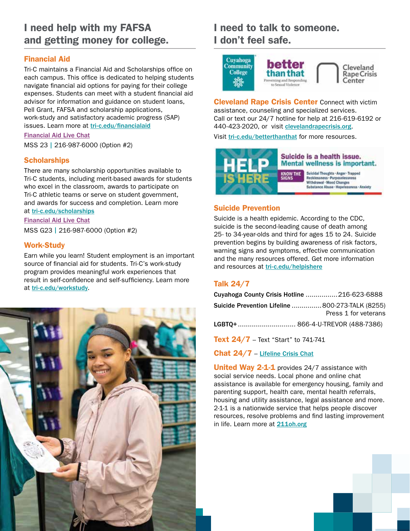### I need help with my FAFSA and getting money for college.

### Financial Aid

Tri-C maintains a Financial Aid and Scholarships office on each campus. This office is dedicated to helping students navigate financial aid options for paying for their college expenses. Students can meet with a student financial aid advisor for information and guidance on student loans, Pell Grant, FAFSA and scholarship applications, work-study and satisfactory academic progress (SAP) issues. Learn more at [tri-c.edu/financialaid](http://tri-c.edu/financialaid)

### [Financial Aid Live Chat](https://messenger.providesupport.com/messenger/085ya61byqpbg1r3w6q89gptad.htm)

MSS 23 | 216-987-6000 (Option #2)

#### **Scholarships**

There are many scholarship opportunities available to Tri-C students, including merit-based awards for students who excel in the classroom, awards to participate on Tri-C athletic teams or serve on student government, and awards for success and completion. Learn more at [tri-c.edu/scholarships](http://tri-c.edu/scholarships)

[Financial Aid Live Chat](https://messenger.providesupport.com/messenger/085ya61byqpbg1r3w6q89gptad.html) MSS G23 | 216-987-6000 (Option #2)

#### Work-Study

Earn while you learn! Student employment is an important source of financial aid for students. Tri-C's work-study program provides meaningful work experiences that result in self-confidence and self-sufficiency. Learn more at [tri-c.edu/workstudy](http://tri-c.edu/workstudy).



# I need to talk to someone. I don't feel safe.



**Cleveland Rape Crisis Center** Connect with victim assistance, counseling and specialized services. Call or text our 24/7 hotline for help at 216-619-6192 or 440-423-2020, or visit [clevelandrapecrisis.org](http://clevelandrapecrisis.org).

Visit [tri-c.edu/betterthanthat](http://tri-c.edu/betterthanthat) for more resources.



#### Suicide Prevention

Suicide is a health epidemic. According to the CDC, suicide is the second-leading cause of death among 25- to 34-year-olds and third for ages 15 to 24. Suicide prevention begins by building awareness of risk factors, warning signs and symptoms, effective communication and the many resources offered. Get more information and resources at [tri-c.edu/helpishere](http://tri-c.edu/helpishere)

### Talk 24/7

| Cuyahoga County Crisis Hotline  216-623-6888                                                                                          |                      |
|---------------------------------------------------------------------------------------------------------------------------------------|----------------------|
| Suicide Prevention Lifeline  800-273-TALK (8255)                                                                                      | Press 1 for veterans |
|                                                                                                                                       |                      |
| $T_{\alpha}$ $\downarrow$ 0 $\uparrow$ /7 $T_{\alpha}$ + $\downarrow$ Chant $\uparrow$ 1.4 $\downarrow$ 7.4 $\uparrow$ 7.4 $\uparrow$ |                      |

**Text 24/7** – Text "Start" to 741-741

Chat 24/7 – [Lifeline Crisis Chat](http://www.suicidepreventionlifeline.org/chat/)

United Way 2-1-1 provides 24/7 assistance with social service needs. Local phone and online chat assistance is available for emergency housing, family and parenting support, health care, mental health referrals, housing and utility assistance, legal assistance and more. 2-1-1 is a nationwide service that helps people discover resources, resolve problems and find lasting improvement in life. Learn more at [211oh.org](http://211oh.org)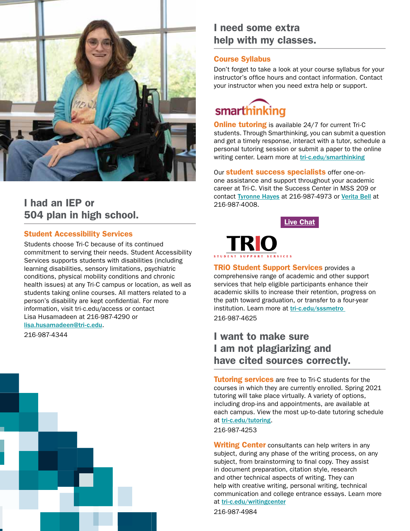

### I had an IEP or 504 plan in high school.

#### Student Accessibility Services

Students choose Tri-C because of its continued commitment to serving their needs. Student Accessibility Services supports students with disabilities (including learning disabilities, sensory limitations, psychiatric conditions, physical mobility conditions and chronic health issues) at any Tri-C campus or location, as well as students taking online courses. All matters related to a person's disability are kept confidential. For more information, visit tri-c.edu/access or contact Lisa Husamadeen at 216-987-4290 or [lisa.husamadeen@tri-c.edu](mailto:lisa.husamadeen%40tri-c.edu?subject=).

216-987-4344



### I need some extra help with my classes.

#### Course Syllabus

Don't forget to take a look at your course syllabus for your instructor's office hours and contact information. Contact your instructor when you need extra help or support.



**Online tutoring** is available 24/7 for current Tri-C students. Through Smarthinking, you can submit a question and get a timely response, interact with a tutor, schedule a personal tutoring session or submit a paper to the online writing center. Learn more at [tri-c.edu/smarthinking](http://tri-c.edu/smarthinking)

Our **student success specialists** offer one-onone assistance and support throughout your academic career at Tri-C. Visit the Success Center in MSS 209 or contact [Tyronne Hayes](mailto:tyronne.hayes%40tri-c.edu?subject=) at 216-987-4973 or [Verita Bell](mailto:Verita.Bell%40tri-c.edu?subject=) at 216-987-4008.

[Live Chat](https://messenger.providesupport.com/messenger/085ya61byqpbg1r3w6q89gptad.html)



**TRIO Student Support Services provides a** comprehensive range of academic and other support services that help eligible participants enhance their academic skills to increase their retention, progress on the path toward graduation, or transfer to a four-year institution. Learn more at [tri-c.edu/sssmetro](http://tri-c.edu/sssmetro )  216-987-4625

### I want to make sure I am not plagiarizing and have cited sources correctly.

**Tutoring services** are free to Tri-C students for the courses in which they are currently enrolled. Spring 2021 tutoring will take place virtually. A variety of options, including drop-ins and appointments, are available at each campus. View the most up-to-date tutoring schedule at [tri-c.edu/tutoring](http://tri-c.edu/tutoring).

216-987-4253

**Writing Center** consultants can help writers in any subject, during any phase of the writing process, on any subject, from brainstorming to final copy. They assist in document preparation, citation style, research and other technical aspects of writing. They can help with creative writing, personal writing, technical communication and college entrance essays. Learn more at [tri-c.edu/writingcenter](http://tri-c.edu/writingcenter)

216-987-4984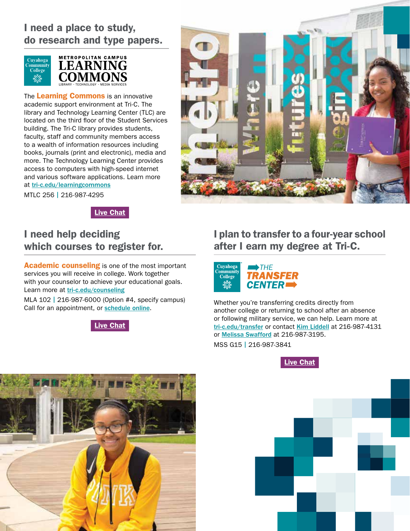### I need a place to study, do research and type papers.





The Learning Commons is an innovative academic support environment at Tri-C. The library and Technology Learning Center (TLC) are located on the third floor of the Student Services building. The Tri-C library provides students, faculty, staff and community members access to a wealth of information resources including books, journals (print and electronic), media and more. The Technology Learning Center provides access to computers with high-speed internet and various software applications. Learn more at [tri-c.edu/learningcommons](http://tri-c.edu/learningcommons)

MTLC 256 | 216-987-4295



[Live Chat](https://messenger.providesupport.com/messenger/085ya61byqpbg1r3w6q89gptad.html)

### I need help deciding which courses to register for.

**Academic counseling** is one of the most important services you will receive in college. Work together with your counselor to achieve your educational goals. Learn more at [tri-c.edu/counseling](http://tri-c.edu/counseling)

MLA 102 | 216-987-6000 (Option #4, specify campus) Call for an appointment, or [schedule online](mailto:https://esars.tri-c.edu/esars/counseling.htm?subject=).



# I plan to transfer to a four-year school after I earn my degree at Tri-C.



Whether you're transferring credits directly from another college or returning to school after an absence or following military service, we can help. Learn more at [tri-c.edu/transfer](http://tri-c.edu/transfer) or contact [Kim Liddell](mailto:kimberly.liddell%40tri-c.edu?subject=) at 216-987-4131 or [Melissa Swafford](mailto:melissa.swafford%40tri-c.edu?subject=) at 216-987-3195.

MSS G15 | 216-987-3841





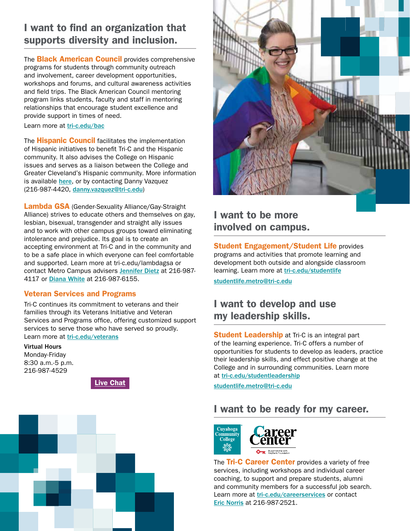### I want to find an organization that supports diversity and inclusion.

The **Black American Council** provides comprehensive programs for students through community outreach and involvement, career development opportunities, workshops and forums, and cultural awareness activities and field trips. The Black American Council mentoring program links students, faculty and staff in mentoring relationships that encourage student excellence and provide support in times of need.

Learn more at [tri-c.edu/bac](http://tri-c.edu/bac)

The **Hispanic Council** facilitates the implementation of Hispanic initiatives to benefit Tri-C and the Hispanic community. It also advises the College on Hispanic issues and serves as a liaison between the College and Greater Cleveland's Hispanic community. More information is available [here](http://www.tri-c.edu/hispaniccouncil), or by contacting Danny Vazquez (216-987-4420, [danny.vazquez@tri-c.edu](mailto:danny.vazquez%40tri-c.edu?subject=))

Lambda GSA (Gender-Sexuality Alliance/Gay-Straight Alliance) strives to educate others and themselves on gay, lesbian, bisexual, transgender and straight ally issues and to work with other campus groups toward eliminating intolerance and prejudice. Its goal is to create an accepting environment at Tri-C and in the community and to be a safe place in which everyone can feel comfortable and supported. Learn more at tri-c.edu/lambdagsa or contact Metro Campus advisers [Jennifer Dietz](mailto:jennifer.dietz%40tri-c.edu?subject=) at 216-987- 4117 or [Diana White](mailto:diana.white%40tri-c.edu?subject=) at 216-987-6155.

#### Veteran Services and Programs

Tri-C continues its commitment to veterans and their families through its Veterans Initiative and Veteran Services and Programs office, offering customized support services to serve those who have served so proudly. Learn more at [tri-c.edu/veterans](http://tri-c.edu/veterans)

Virtual Hours Monday-Friday 8:30 a.m.-5 p.m. 216-987-4529







### I want to be more involved on campus.

**Student Engagement/Student Life provides** programs and activities that promote learning and development both outside and alongside classroom learning. Learn more at [tri-c.edu/studentlife](http://tri-c.edu/studentlife)

[studentlife.metro@tri-c.edu](mailto:studentlife.metro%40tri-c.edu?subject=)

### I want to develop and use my leadership skills.

**Student Leadership** at Tri-C is an integral part of the learning experience. Tri-C offers a number of opportunities for students to develop as leaders, practice their leadership skills, and effect positive change at the College and in surrounding communities. Learn more at [tri-c.edu/studentleadership](http://tri-c.edu/studentleadership)

[studentlife.metro@tri-c.edu](mailto:studentlife.metro%40tri-c.edu?subject=)

### I want to be ready for my career.



The Tri-C Career Center provides a variety of free services, including workshops and individual career coaching, to support and prepare students, alumni and community members for a successful job search. Learn more at [tri-c.edu/careerservices](http://tri-c.edu/careerservices) or contact [Eric Norris](mailto:eric.norris%40tri-c.edu?subject=) at 216-987-2521.